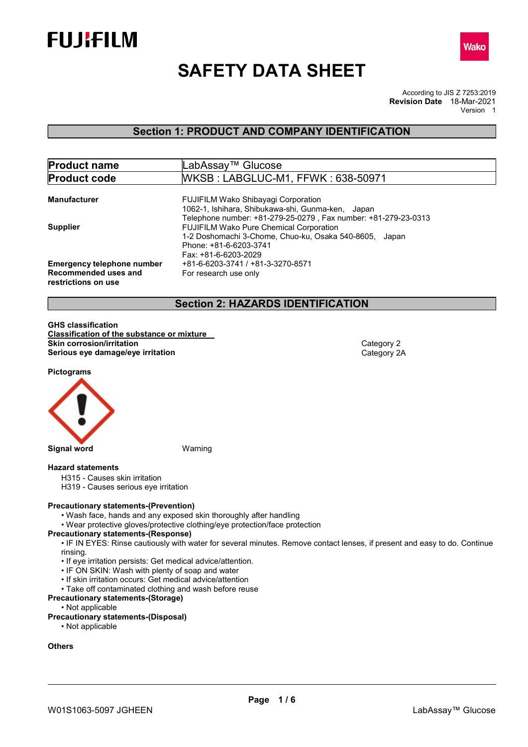



# SAFETY DATA SHEET

According to JIS Z 7253:2019 Revision Date 18-Mar-2021 Version 1

## Section 1: PRODUCT AND COMPANY IDENTIFICATION

| <b>Product name</b>               | LabAssay™ Glucose                                                                               |
|-----------------------------------|-------------------------------------------------------------------------------------------------|
| <b>Product code</b>               | WKSB: LABGLUC-M1, FFWK: 638-50971                                                               |
|                                   |                                                                                                 |
| <b>Manufacturer</b>               | <b>FUJIFILM Wako Shibayagi Corporation</b><br>1062-1, Ishihara, Shibukawa-shi, Gunma-ken, Japan |
|                                   | Telephone number: +81-279-25-0279, Fax number: +81-279-23-0313                                  |
| <b>Supplier</b>                   | <b>FUJIFILM Wako Pure Chemical Corporation</b>                                                  |
|                                   | 1-2 Doshomachi 3-Chome, Chuo-ku, Osaka 540-8605, Japan                                          |
|                                   | Phone: +81-6-6203-3741                                                                          |
|                                   | Fax: +81-6-6203-2029                                                                            |
| <b>Emergency telephone number</b> | +81-6-6203-3741 / +81-3-3270-8571                                                               |
| Recommended uses and              | For research use only                                                                           |
| restrictions on use               |                                                                                                 |

## Section 2: HAZARDS IDENTIFICATION

GHS classification Classification of the substance or mixture Skin corrosion/irritation **Category 2** and Category 2 Serious eye damage/eye irritation Category 2A

Pictograms



Signal word Warning

#### Hazard statements

H315 - Causes skin irritation

H319 - Causes serious eye irritation

#### Precautionary statements-(Prevention)

- Wash face, hands and any exposed skin thoroughly after handling
- Wear protective gloves/protective clothing/eye protection/face protection

## Precautionary statements-(Response)

• IF IN EYES: Rinse cautiously with water for several minutes. Remove contact lenses, if present and easy to do. Continue rinsing.

- If eye irritation persists: Get medical advice/attention.
- IF ON SKIN: Wash with plenty of soap and water
- If skin irritation occurs: Get medical advice/attention
- Take off contaminated clothing and wash before reuse

### Precautionary statements-(Storage)

• Not applicable

### Precautionary statements-(Disposal)

• Not applicable

### **Others**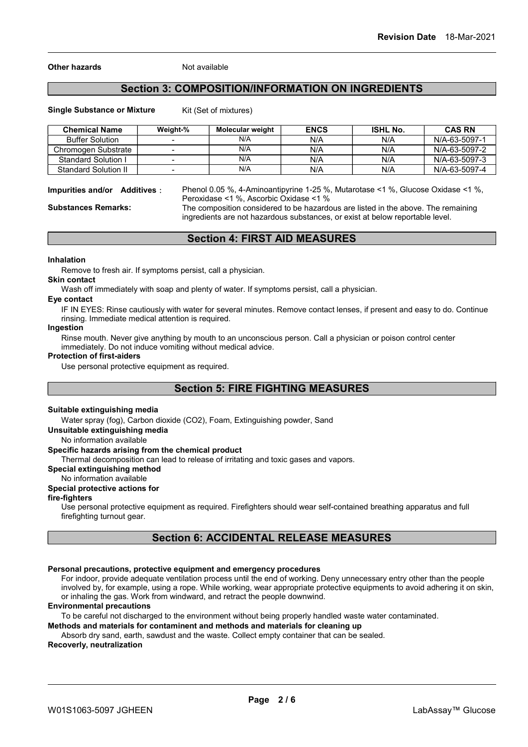#### Other hazards Not available

## Section 3: COMPOSITION/INFORMATION ON INGREDIENTS

#### Single Substance or Mixture Kit (Set of mixtures)

| <b>Chemical Name</b>        | Weight-%                 | Molecular weight | <b>ENCS</b> | <b>ISHL No.</b> | <b>CAS RN</b> |
|-----------------------------|--------------------------|------------------|-------------|-----------------|---------------|
| <b>Buffer Solution</b>      |                          | N/A              | N/A         | N/A             | N/A-63-5097-1 |
| Chromogen Substrate         |                          | N/A              | N/A         | N/A             | N/A-63-5097-2 |
| Standard Solution I         |                          | N/A              | N/A         | N/A             | N/A-63-5097-3 |
| <b>Standard Solution II</b> | $\overline{\phantom{0}}$ | N/A              | N/A         | N/A             | N/A-63-5097-4 |

Impurities and/or Additives: Phenol 0.05 %, 4-Aminoantipyrine 1-25 %, Mutarotase <1 %, Glucose Oxidase <1 %, Peroxidase <1 %, Ascorbic Oxidase <1 %

Substances Remarks: The composition considered to be hazardous are listed in the above. The remaining ingredients are not hazardous substances, or exist at below reportable level.

Section 4: FIRST AID MEASURES

#### Inhalation

Remove to fresh air. If symptoms persist, call a physician.

#### Skin contact

Wash off immediately with soap and plenty of water. If symptoms persist, call a physician.

#### Eye contact

IF IN EYES: Rinse cautiously with water for several minutes. Remove contact lenses, if present and easy to do. Continue rinsing. Immediate medical attention is required.

#### Ingestion

Rinse mouth. Never give anything by mouth to an unconscious person. Call a physician or poison control center immediately. Do not induce vomiting without medical advice.

#### Protection of first-aiders

Use personal protective equipment as required.

## Section 5: FIRE FIGHTING MEASURES

#### Suitable extinguishing media

Water spray (fog), Carbon dioxide (CO2), Foam, Extinguishing powder, Sand

Unsuitable extinguishing media

No information available

#### Specific hazards arising from the chemical product

Thermal decomposition can lead to release of irritating and toxic gases and vapors.

Special extinguishing method

#### No information available

#### Special protective actions for

fire-fighters

Use personal protective equipment as required. Firefighters should wear self-contained breathing apparatus and full firefighting turnout gear.

## Section 6: ACCIDENTAL RELEASE MEASURES

#### Personal precautions, protective equipment and emergency procedures

For indoor, provide adequate ventilation process until the end of working. Deny unnecessary entry other than the people involved by, for example, using a rope. While working, wear appropriate protective equipments to avoid adhering it on skin, or inhaling the gas. Work from windward, and retract the people downwind.

#### Environmental precautions

To be careful not discharged to the environment without being properly handled waste water contaminated.

#### Methods and materials for contaminent and methods and materials for cleaning up

Absorb dry sand, earth, sawdust and the waste. Collect empty container that can be sealed.

## Recoverly, neutralization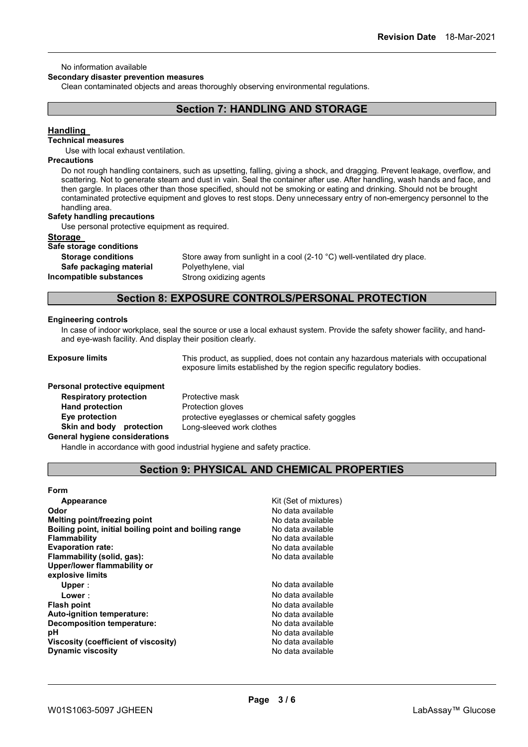#### No information available

#### Secondary disaster prevention measures

Clean contaminated objects and areas thoroughly observing environmental regulations.

## Section 7: HANDLING AND STORAGE

### **Handling**

### Technical measures

Use with local exhaust ventilation.

#### **Precautions**

Do not rough handling containers, such as upsetting, falling, giving a shock, and dragging. Prevent leakage, overflow, and scattering. Not to generate steam and dust in vain. Seal the container after use. After handling, wash hands and face, and then gargle. In places other than those specified, should not be smoking or eating and drinking. Should not be brought contaminated protective equipment and gloves to rest stops. Deny unnecessary entry of non-emergency personnel to the handling area.

#### Safety handling precautions

Use personal protective equipment as required.

#### **Storage**

Safe storage conditions

Safe packaging material Polyethylene, vial

Storage conditions Store away from sunlight in a cool (2-10 °C) well-ventilated dry place. Incompatible substances Strong oxidizing agents

## Section 8: EXPOSURE CONTROLS/PERSONAL PROTECTION

#### Engineering controls

In case of indoor workplace, seal the source or use a local exhaust system. Provide the safety shower facility, and handand eye-wash facility. And display their position clearly.

**Exposure limits** This product, as supplied, does not contain any hazardous materials with occupational exposure limits established by the region specific regulatory bodies.

#### Personal protective equipment

**Respiratory protection** Protective mask Hand protection **Protection** Protection gloves Skin and body protection Long-sleeved work clothes

Eye protection **protective eyeglasses or chemical safety goggles** 

#### General hygiene considerations

Handle in accordance with good industrial hygiene and safety practice.

## Section 9: PHYSICAL AND CHEMICAL PROPERTIES

#### Form

| Appearance                                             | Kit (Set of mixtures) |
|--------------------------------------------------------|-----------------------|
| Odor                                                   | No data available     |
| Melting point/freezing point                           | No data available     |
| Boiling point, initial boiling point and boiling range | No data available     |
| Flammability                                           | No data available     |
| <b>Evaporation rate:</b>                               | No data available     |
| Flammability (solid, gas):                             | No data available     |
| Upper/lower flammability or                            |                       |
| explosive limits                                       |                       |
| Upper:                                                 | No data available     |
| Lower:                                                 | No data available     |
| <b>Flash point</b>                                     | No data available     |
| Auto-ignition temperature:                             | No data available     |
| <b>Decomposition temperature:</b>                      | No data available     |
| рH                                                     | No data available     |
| Viscosity (coefficient of viscosity)                   | No data available     |
| <b>Dynamic viscosity</b>                               | No data available     |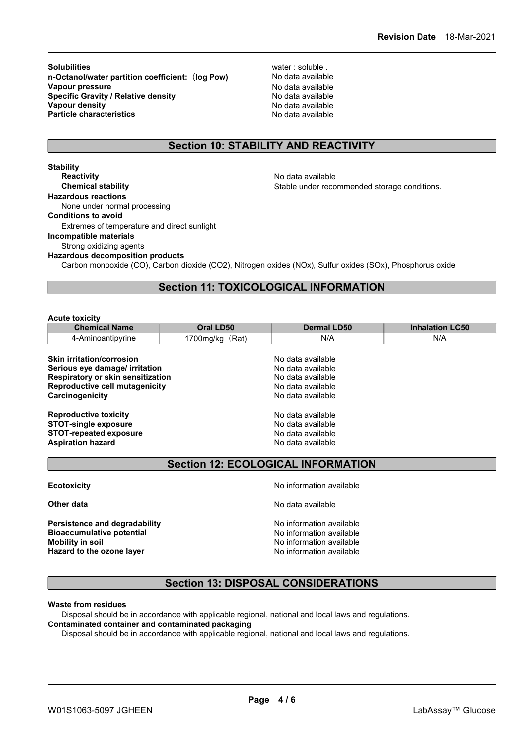Solubilities water: soluble . n-Octanol/water partition coefficient: (log Pow) No data available **Vapour pressure No data available** No data available Specific Gravity / Relative density<br>
Vapour density<br>
Vapour density<br>
No data available Vapour density **Particle characteristics** No data available

## Section 10: STABILITY AND REACTIVITY

**Stability Reactivity No data available No data available No data available** Chemical stability **Stable under recommended storage conditions.** Hazardous reactions None under normal processing Conditions to avoid Extremes of temperature and direct sunlight Incompatible materials Strong oxidizing agents Hazardous decomposition products Carbon monooxide (CO), Carbon dioxide (CO2), Nitrogen oxides (NOx), Sulfur oxides (SOx), Phosphorus oxide

## Section 11: TOXICOLOGICAL INFORMATION

#### Acute toxicity

| <b>Oral LD50</b>                                              | <b>Dermal LD50</b> | <b>Inhalation LC50</b> |
|---------------------------------------------------------------|--------------------|------------------------|
| 1700mg/kg (Rat)                                               | N/A                | N/A                    |
|                                                               | No data available  |                        |
| Serious eye damage/ irritation                                | No data available  |                        |
| <b>Respiratory or skin sensitization</b><br>No data available |                    |                        |
| Reproductive cell mutagenicity                                | No data available  |                        |
|                                                               | No data available  |                        |
|                                                               |                    |                        |
|                                                               |                    |                        |

| No data available |
|-------------------|
| No data available |
| No data available |
| No data available |
|                   |

## Section 12: ECOLOGICAL INFORMATION

Persistence and degradability **No. 1988** No information available **Bioaccumulative potential No information available** Mobility in soil and the number of the No information available model in the North State of the North State of No Hazard to the ozone layer Notifiant Controller Note No information available

**Ecotoxicity No information available No information available** 

**Other data** No data available **No data available** No data available

## Section 13: DISPOSAL CONSIDERATIONS

#### Waste from residues

Disposal should be in accordance with applicable regional, national and local laws and regulations. Contaminated container and contaminated packaging

Disposal should be in accordance with applicable regional, national and local laws and regulations.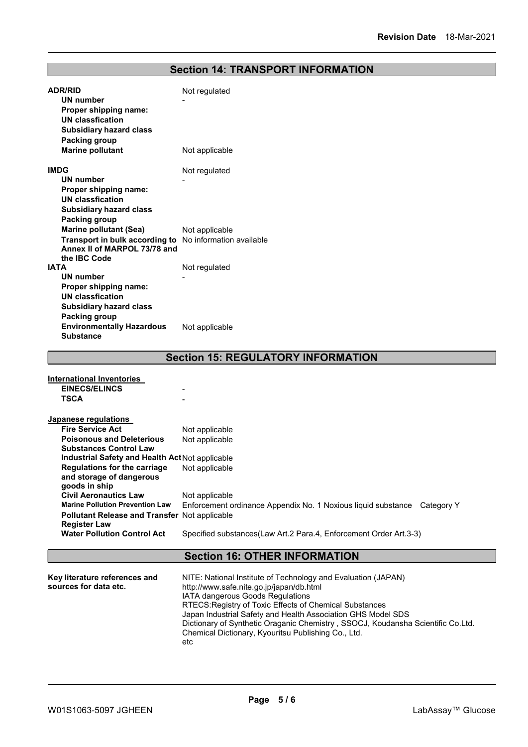## Section 14: TRANSPORT INFORMATION

| <b>ADR/RID</b>                                           | Not regulated                                                            |
|----------------------------------------------------------|--------------------------------------------------------------------------|
| <b>UN number</b>                                         |                                                                          |
| Proper shipping name:                                    |                                                                          |
| <b>UN classfication</b>                                  |                                                                          |
| <b>Subsidiary hazard class</b>                           |                                                                          |
| Packing group                                            |                                                                          |
| <b>Marine pollutant</b>                                  | Not applicable                                                           |
| <b>IMDG</b>                                              | Not regulated                                                            |
| <b>UN number</b>                                         |                                                                          |
| Proper shipping name:                                    |                                                                          |
| <b>UN classfication</b>                                  |                                                                          |
| <b>Subsidiary hazard class</b>                           |                                                                          |
| <b>Packing group</b>                                     |                                                                          |
| <b>Marine pollutant (Sea)</b>                            | Not applicable                                                           |
| Transport in bulk according to No information available  |                                                                          |
| Annex II of MARPOL 73/78 and<br>the IBC Code             |                                                                          |
| <b>IATA</b>                                              | Not regulated                                                            |
| <b>UN number</b>                                         |                                                                          |
| Proper shipping name:                                    |                                                                          |
| <b>UN classfication</b>                                  |                                                                          |
| <b>Subsidiary hazard class</b>                           |                                                                          |
| <b>Packing group</b>                                     |                                                                          |
| <b>Environmentally Hazardous</b>                         | Not applicable                                                           |
| <b>Substance</b>                                         |                                                                          |
|                                                          | <b>Section 15: REGULATORY INFORMATION</b>                                |
|                                                          |                                                                          |
| <b>International Inventories</b>                         |                                                                          |
| <b>EINECS/ELINCS</b>                                     |                                                                          |
| <b>TSCA</b>                                              |                                                                          |
|                                                          |                                                                          |
| Japanese regulations                                     |                                                                          |
| <b>Fire Service Act</b>                                  | Not applicable                                                           |
| <b>Poisonous and Deleterious</b>                         | Not applicable                                                           |
| <b>Substances Control Law</b>                            |                                                                          |
| Industrial Safety and Health ActNot applicable           |                                                                          |
| Regulations for the carriage<br>and storage of dangerous | Not applicable                                                           |
| goods in ship                                            |                                                                          |
| <b>Civil Aeronautics Law</b>                             | Not applicable                                                           |
| <b>Marine Pollution Prevention Law</b>                   | Enforcement ordinance Appendix No. 1 Noxious liquid substance Category Y |
| Pollutant Release and Transfer Not applicable            |                                                                          |
| <b>Register Law</b>                                      |                                                                          |
| <b>Water Pollution Control Act</b>                       | Specified substances(Law Art.2 Para.4, Enforcement Order Art.3-3)        |
|                                                          |                                                                          |

## Section 16: OTHER INFORMATION

| Key literature references and | NITE: National Institute of Technology and Evaluation (JAPAN)                   |
|-------------------------------|---------------------------------------------------------------------------------|
| sources for data etc.         | http://www.safe.nite.go.jp/japan/db.html                                        |
|                               | <b>IATA dangerous Goods Regulations</b>                                         |
|                               | RTECS: Registry of Toxic Effects of Chemical Substances                         |
|                               | Japan Industrial Safety and Health Association GHS Model SDS                    |
|                               | Dictionary of Synthetic Oraganic Chemistry, SSOCJ, Koudansha Scientific Co.Ltd. |
|                               | Chemical Dictionary, Kyouritsu Publishing Co., Ltd.                             |
|                               | etc                                                                             |